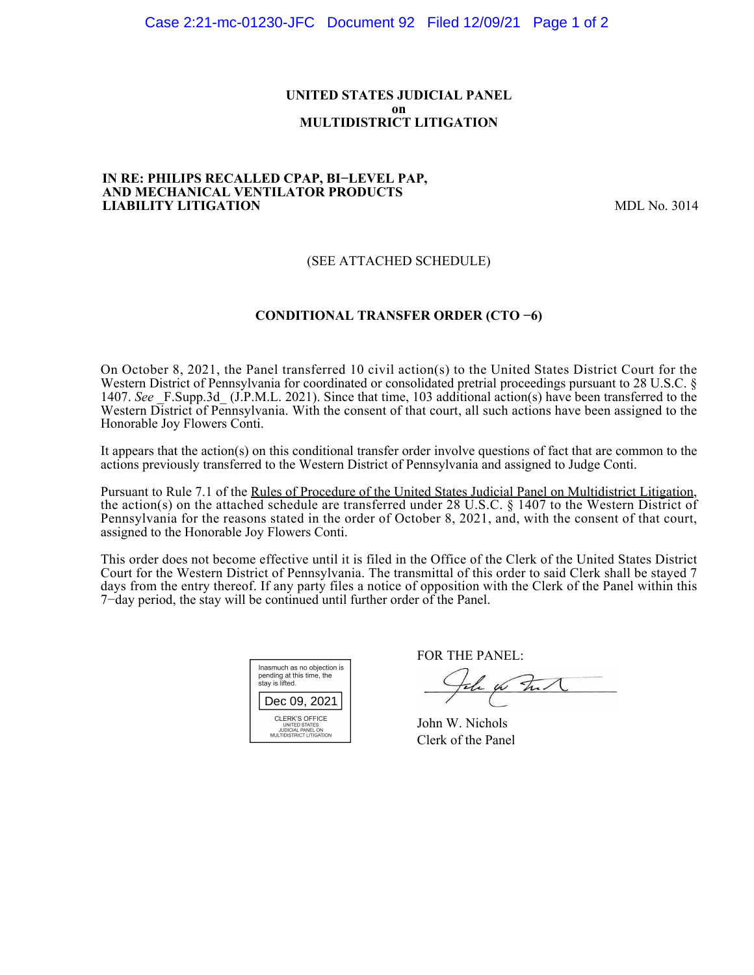### **UNITED STATES JUDICIAL PANEL on MULTIDISTRICT LITIGATION**

#### **IN RE: PHILIPS RECALLED CPAP, BI−LEVEL PAP, AND MECHANICAL VENTILATOR PRODUCTS LIABILITY LITIGATION** MDL No. 3014

# (SEE ATTACHED SCHEDULE)

# **CONDITIONAL TRANSFER ORDER (CTO −6)**

On October 8, 2021, the Panel transferred 10 civil action(s) to the United States District Court for the Western District of Pennsylvania for coordinated or consolidated pretrial proceedings pursuant to 28 U.S.C. § 1407. *See* \_F.Supp.3d\_ (J.P.M.L. 2021). Since that time, 103 additional action(s) have been transferred to the Western District of Pennsylvania. With the consent of that court, all such actions have been assigned to the Honorable Joy Flowers Conti.

It appears that the action(s) on this conditional transfer order involve questions of fact that are common to the actions previously transferred to the Western District of Pennsylvania and assigned to Judge Conti.

Pursuant to Rule 7.1 of the Rules of Procedure of the United States Judicial Panel on Multidistrict Litigation, the action(s) on the attached schedule are transferred under 28 U.S.C. § 1407 to the Western District of Pennsylvania for the reasons stated in the order of October 8, 2021, and, with the consent of that court, assigned to the Honorable Joy Flowers Conti.

This order does not become effective until it is filed in the Office of the Clerk of the United States District Court for the Western District of Pennsylvania. The transmittal of this order to said Clerk shall be stayed 7 days from the entry thereof. If any party files a notice of opposition with the Clerk of the Panel within this 7−day period, the stay will be continued until further order of the Panel.

| Inasmuch as no objection is<br>pending at this time, the<br>stay is lifted.             |  |  |  |
|-----------------------------------------------------------------------------------------|--|--|--|
| Dec 09, 2021                                                                            |  |  |  |
| CLERK'S OFFICE<br><b>UNITED STATES</b><br>JUDICIAL PANEL ON<br>MULTIDISTRICT LITIGATION |  |  |  |

FOR THE PANEL:

John for Full

John W. Nichols Clerk of the Panel